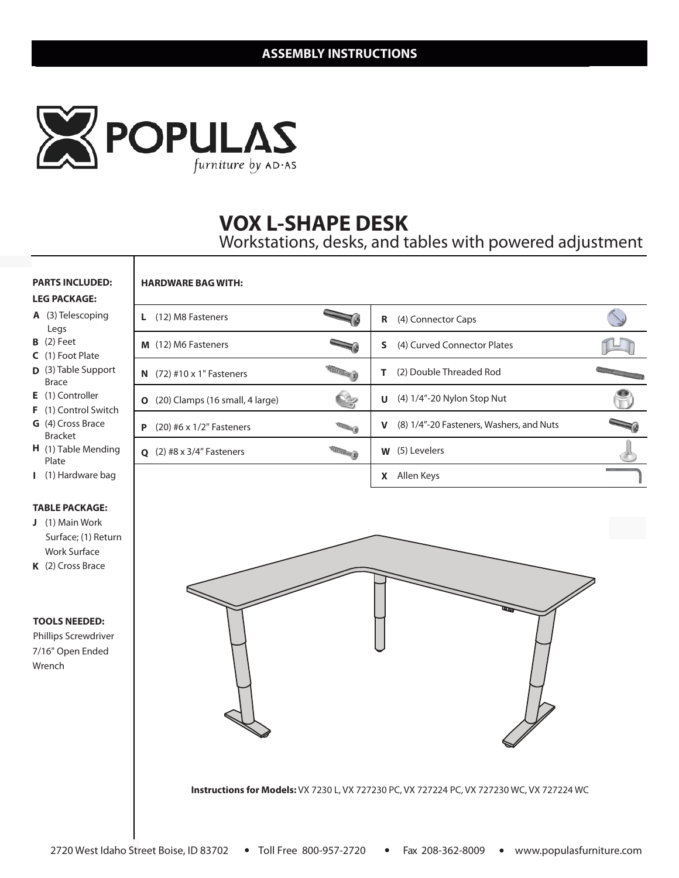

**HARDWARE BAG WITH:**

# **INFINITY 7230 VOX L-SHAPE DESK**

Workstations, desks, and tables with powered adjustment

#### **PARTS INCLUDED: LEG PACKAGE:**

#### **A** (3) Telescoping

- Legs **B** (2) Feet
- 
- **C** (1) Foot Plate
- **D**  (3) Table Support Brace
- **E** (1) Controller
- **F** (1) Control Switch
- Bracket **G** (4) Cross Brace
- **H** (1) Table Mending Plate
- (1) Hardware bag **I**

#### **TABLE PACKAGE:**

- **J** (1) Main Work Surface; (1) Return Work Surface
- **K** (2) Cross Brace

#### **TOOLS NEEDED:**

Phillips Screwdriver 7/16" Open Ended Wrench

| (12) M8 Fasteners<br>L.                   |                 | R<br>(4) Connector Caps                                 |  |
|-------------------------------------------|-----------------|---------------------------------------------------------|--|
| M (12) M6 Fasteners                       |                 | S<br>(4) Curved Connector Plates                        |  |
| $(72)$ #10 x 1" Fasteners<br>N            | <b>SECRET A</b> | (2) Double Threaded Rod                                 |  |
| (20) Clamps (16 small, 4 large)<br>O      |                 | (4) 1/4"-20 Nylon Stop Nut<br>U                         |  |
| P<br>$(20)$ #6 x 1/2" Fasteners           |                 | (8) 1/4"-20 Fasteners, Washers, and Nuts<br>$\mathbf v$ |  |
| $(2)$ #8 x 3/4" Fasteners<br>$\mathbf{o}$ |                 | (5) Levelers<br>W                                       |  |
|                                           |                 | Allen Keys<br>χ                                         |  |



**Instructions for Models:** VX 7230 L, VX 727230 PC, VX 727224 PC, VX 727230 WC, VX 727224 WC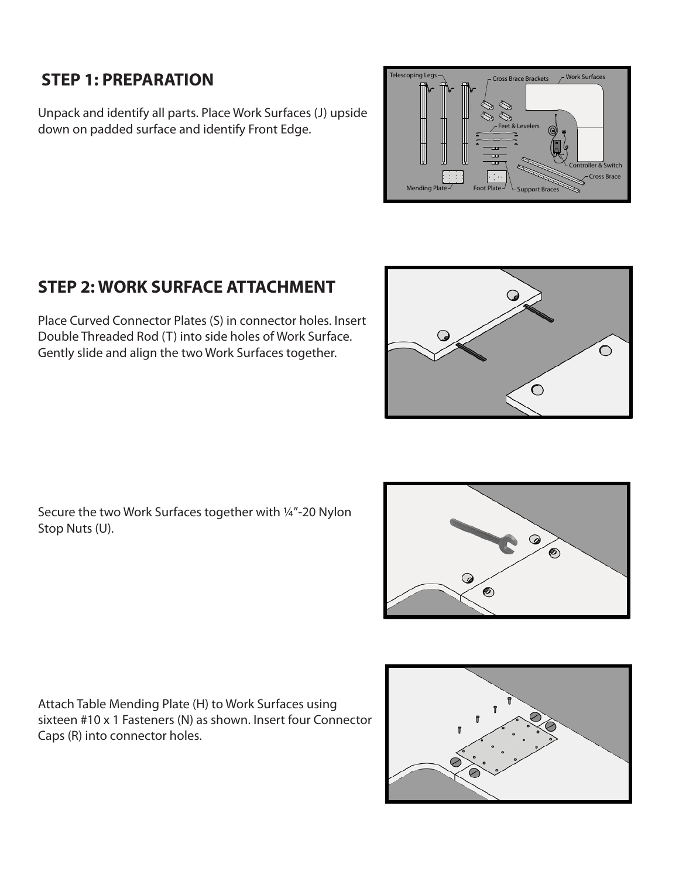#### **STEP 1: PREPARATION**

Unpack and identify all parts. Place Work Surfaces (J) upside down on padded surface and identify Front Edge.



### **STEP 2: WORK SURFACE ATTACHMENT**

Place Curved Connector Plates (S) in connector holes. Insert Double Threaded Rod (T) into side holes of Work Surface. Gently slide and align the two Work Surfaces together.

Secure the two Work Surfaces together with ¼"-20 Nylon Stop Nuts (U).



 $\bigcirc$ 

 $\bigcirc$ 

Attach Table Mending Plate (H) to Work Surfaces using sixteen #10 x 1 Fasteners (N) as shown. Insert four Connector Caps (R) into connector holes.

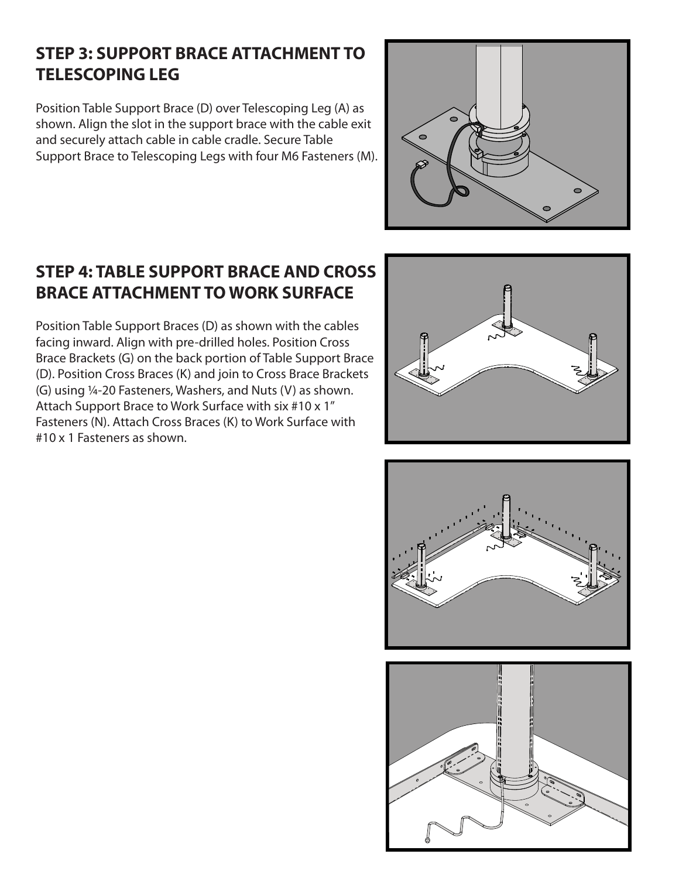### **STEP 3: SUPPORT BRACE ATTACHMENT TO TELESCOPING LEG**

Position Table Support Brace (D) over Telescoping Leg (A) as shown. Align the slot in the support brace with the cable exit and securely attach cable in cable cradle. Secure Table Support Brace to Telescoping Legs with four M6 Fasteners (M).



### **STEP 4: TABLE SUPPORT BRACE AND CROSS BRACE ATTACHMENT TO WORK SURFACE**

Position Table Support Braces (D) as shown with the cables facing inward. Align with pre-drilled holes. Position Cross Brace Brackets (G) on the back portion of Table Support Brace (D). Position Cross Braces (K) and join to Cross Brace Brackets (G) using ¼-20 Fasteners, Washers, and Nuts (V) as shown. Attach Support Brace to Work Surface with six #10 x 1" Fasteners (N). Attach Cross Braces (K) to Work Surface with #10 x 1 Fasteners as shown.





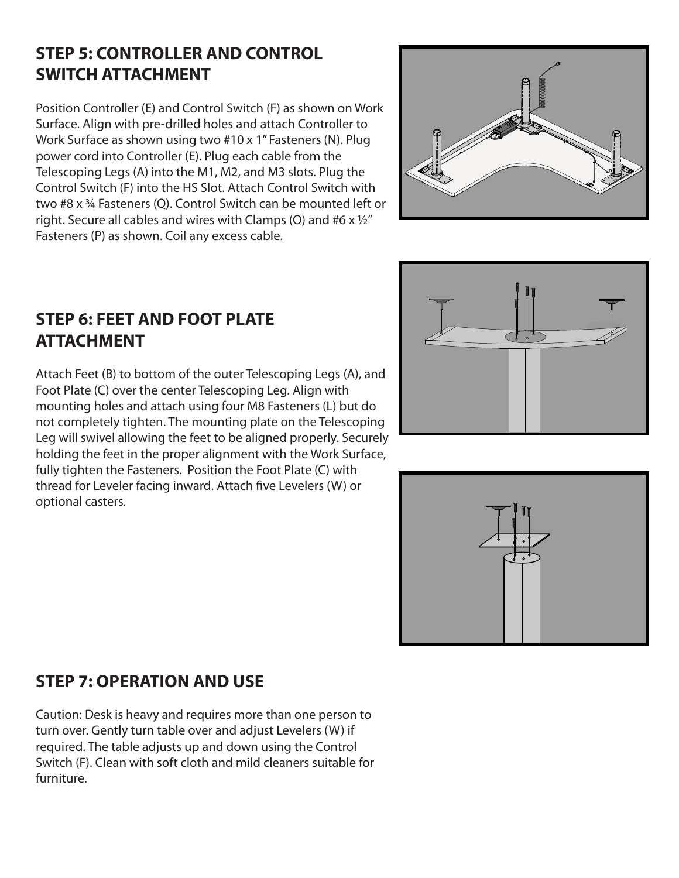### **STEP 5: CONTROLLER AND CONTROL SWITCH ATTACHMENT**

Position Controller (E) and Control Switch (F) as shown on Work Surface. Align with pre-drilled holes and attach Controller to Work Surface as shown using two #10 x 1" Fasteners (N). Plug power cord into Controller (E). Plug each cable from the Telescoping Legs (A) into the M1, M2, and M3 slots. Plug the Control Switch (F) into the HS Slot. Attach Control Switch with two #8 x ¾ Fasteners (Q). Control Switch can be mounted left or right. Secure all cables and wires with Clamps (O) and #6  $\times$  1/2" Fasteners (P) as shown. Coil any excess cable.



### **STEP 6: FEET AND FOOT PLATE ATTACHMENT**

Attach Feet (B) to bottom of the outer Telescoping Legs (A), and Foot Plate (C) over the center Telescoping Leg. Align with mounting holes and attach using four M8 Fasteners (L) but do not completely tighten. The mounting plate on the Telescoping Leg will swivel allowing the feet to be aligned properly. Securely holding the feet in the proper alignment with the Work Surface, fully tighten the Fasteners. Position the Foot Plate (C) with thread for Leveler facing inward. Attach five Levelers (W) or optional casters.





### **STEP 7: OPERATION AND USE**

Caution: Desk is heavy and requires more than one person to turn over. Gently turn table over and adjust Levelers (W) if required. The table adjusts up and down using the Control Switch (F). Clean with soft cloth and mild cleaners suitable for furniture.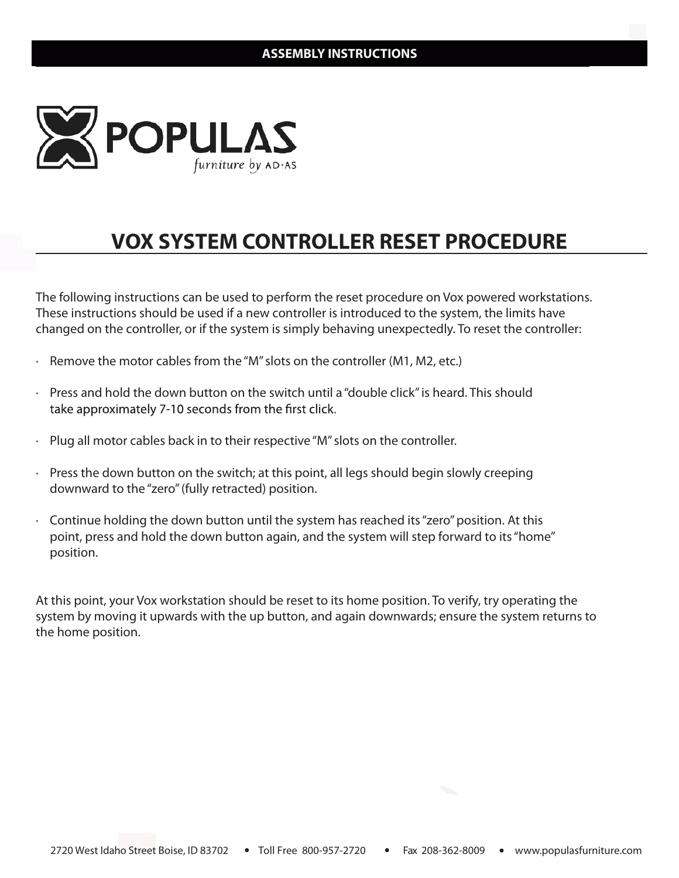

# **VOX SYSTEM CONTROLLER RESET PROCEDURE**

The following instructions can be used to perform the reset procedure on Vox powered workstations. These instructions should be used if a new controller is introduced to the system, the limits have changed on the controller, or if the system is simply behaving unexpectedly. To reset the controller:

- · Remove the motor cables from the "M" slots on the controller (M1, M2, etc.)
- · Press and hold the down button on the switch until a "double click" is heard. This should take approximately 7-10 seconds from the first click.
- Plug all motor cables back in to their respective "M" slots on the controller.
- $\cdot$  Press the down button on the switch; at this point, all legs should begin slowly creeping downward to the "zero" (fully retracted) position.
- $\cdot$  Continue holding the down button until the system has reached its "zero" position. At this point, press and hold the down button again, and the system will step forward to its "home" position.

At this point, your Vox workstation should be reset to its home position. To verify, try operating the system by moving it upwards with the up button, and again downwards; ensure the system returns to the home position.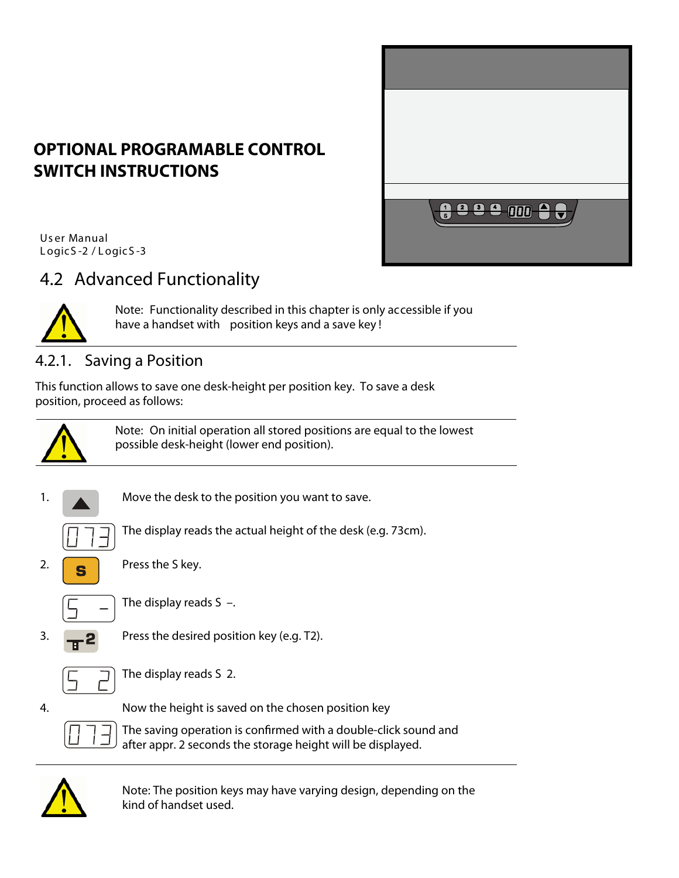

## **OPTIONAL PROGRAMABLE CONTROL SWITCH INSTRUCTIONS**

Us er Manual LogicS-2 / LogicS-3

## 4.2 Advanced Functionality



**Note:** Functionality described in this chapter is only accessible if you have a handset with **position keys** and a **save key** !

#### **4.2.1. Saving a Position**

*This function allows to save one desk-height per position key. To save a desk position, proceed as follows:* 



**Note:** On initial operation all stored positions are equal to the lowest possible desk-height (lower end position).



*The display reads the actual height of the desk (e.g. 73cm).* 



*2. Press the S key.* 



*The display reads S –.* 



*3. Press the desired position key (e.g. T2).*



*The display reads S 2.* 

*4. Now the height is saved on the chosen position key* 

*The saving operation is conrmed with a double-click sound and after appr. 2 seconds the storage height will be displayed.* 



*Note: The position keys may have varying design, depending on the kind of handset used.*